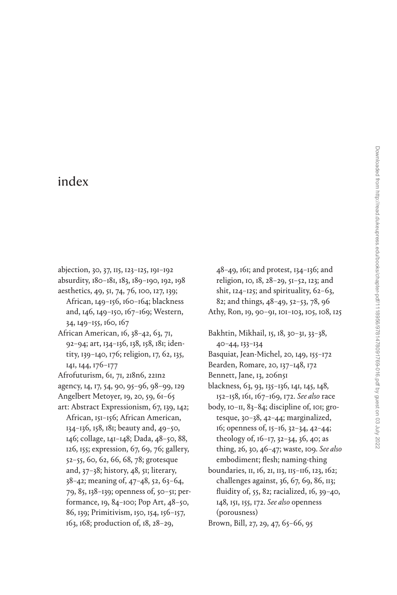## [index](#page--1-0)

- abjection, [30](#page--1-0), [37](#page--1-0), [115,](#page--1-0) [123–125,](#page--1-0) [191](#page--1-0)–[192](#page--1-0) absurdity, [180–181](#page--1-0), [183,](#page--1-0) [189](#page--1-0)–[190](#page--1-0), [192](#page--1-0), [198](#page--1-0)
- aesthetics, [49](#page--1-0), [51](#page--1-0), [74,](#page--1-0) [76,](#page--1-0) [100,](#page--1-0) [127,](#page--1-0) [139](#page--1-0); African, [149–156,](#page--1-0) [160–164;](#page--1-0) blackness and, [146, 149–150,](#page--1-0) [167–169](#page--1-0); Western, [34,](#page--1-0) [149–155](#page--1-0), [160, 167](#page--1-0)
- African American, [16,](#page--1-0) [38–42](#page--1-0), [63,](#page--1-0) [71,](#page--1-0) [92](#page--1-0)–[94;](#page--1-0) art, [134–136](#page--1-0), [138](#page--1-0), [158](#page--1-0), [181](#page--1-0); identity, [139–140,](#page--1-0) [176](#page--1-0); religion, [17](#page--1-0), [62,](#page--1-0) [135](#page--1-0), [141](#page--1-0), [144](#page--1-0), [176–177](#page--1-0)
- Afrofuturism, [61](#page--1-0), [71, 218n6, 221n2](#page--1-0)
- agency, [14](#page--1-0), [17,](#page--1-0) [54,](#page--1-0) [90, 95–96](#page--1-0), [98](#page--1-0)–[99, 129](#page--1-0)
- Angelbert Metoyer, [19,](#page--1-0) [20](#page--1-0), [59](#page--1-0), [61–65](#page--1-0)
- art: Abstract Expressionism, [67, 139](#page--1-0), [142](#page--1-0); African, [151–156;](#page--1-0) African American, [134](#page--1-0)–[136, 158, 181](#page--1-0); beauty and, [49](#page--1-0)–[50,](#page--1-0) [146](#page--1-0); collage, [141–148](#page--1-0); Dada, [48](#page--1-0)–[50,](#page--1-0) [88,](#page--1-0) [126,](#page--1-0) [155;](#page--1-0) expression, [67,](#page--1-0) [69](#page--1-0), [76](#page--1-0); gallery, [52](#page--1-0)–[55](#page--1-0), [60,](#page--1-0) [62](#page--1-0), [66](#page--1-0), [68](#page--1-0), [78;](#page--1-0) grotesque and, [37](#page--1-0)–[38](#page--1-0); history, [48](#page--1-0), [51](#page--1-0); literary, [38–42;](#page--1-0) meaning of, [47–48, 52](#page--1-0), [63](#page--1-0)–[64,](#page--1-0) [79,](#page--1-0) [85](#page--1-0), [138](#page--1-0)–[139](#page--1-0); openness of, [50](#page--1-0)–[51;](#page--1-0) performance, [19](#page--1-0), [84–100](#page--1-0); Pop Art, [48–50](#page--1-0), [86,](#page--1-0) [139](#page--1-0); Primitivism, [150](#page--1-0), [154,](#page--1-0) [156–157](#page--1-0), [163,](#page--1-0) [168;](#page--1-0) production of, [18,](#page--1-0) [28–29,](#page--1-0)
- [48–49, 161;](#page--1-0) and protest, [134–136;](#page--1-0) and religion, [10](#page--1-0), [18, 28–29,](#page--1-0) [51–52](#page--1-0), [123](#page--1-0); and shit,  $124-125$ ; and spirituality,  $62-63$ , [82](#page--1-0); and things, [48–49, 52](#page--1-0)–[53](#page--1-0), [78,](#page--1-0) [96](#page--1-0) Athy, Ron, [19,](#page--1-0) [90](#page--1-0)–[91, 101–103, 105,](#page--1-0) [108](#page--1-0), [125](#page--1-0)
- Bakhtin, Mikhail, [15,](#page--1-0) [18](#page--1-0), [30–31](#page--1-0), [33–38,](#page--1-0)
- [40–44,](#page--1-0) [133](#page--1-0)–[134](#page--1-0)
- Basquiat, Jean-Michel, [20](#page--1-0), [149,](#page--1-0) [155–172](#page--1-0)
- Bearden, Romare, [20,](#page--1-0) [137–148](#page--1-0), [172](#page--1-0)
- Bennett, Jane, [13,](#page--1-0) [206n51](#page--1-0)
- blackness, [63,](#page--1-0) [93,](#page--1-0) [135–136,](#page--1-0) [141](#page--1-0), [145,](#page--1-0) [148,](#page--1-0) [152](#page--1-0)–[158](#page--1-0), [161](#page--1-0), [167–169,](#page--1-0) [172](#page--1-0). *See also* race
- body, [10–11](#page--1-0), [83](#page--1-0)–[84;](#page--1-0) discipline of, [101](#page--1-0); grotesque, [30–38,](#page--1-0) [42–44;](#page--1-0) marginalized, [16;](#page--1-0) openness of, [15](#page--1-0)–[16,](#page--1-0) [32–34](#page--1-0), [42–44](#page--1-0); theology of, [16–17,](#page--1-0) [32–34](#page--1-0), [36](#page--1-0), [40](#page--1-0); as thing, [26,](#page--1-0) [30,](#page--1-0) [46–47](#page--1-0); waste, [109.](#page--1-0) *See also* embodiment; flesh; naming-thing
- boundaries, [11](#page--1-0), [16](#page--1-0), [21,](#page--1-0) [113](#page--1-0), [115–116,](#page--1-0) [123,](#page--1-0) [162;](#page--1-0) challenges against, [36](#page--1-0), [67](#page--1-0), [69,](#page--1-0) [86](#page--1-0), [113;](#page--1-0) fluidity of, [55](#page--1-0), [82](#page--1-0); racialized, [16, 39–40](#page--1-0), [148](#page--1-0), [151, 155](#page--1-0), [172.](#page--1-0) *See also* openness (porousness)
- Brown, Bill, [27](#page--1-0), [29](#page--1-0), [47,](#page--1-0) [65–66](#page--1-0), [95](#page--1-0)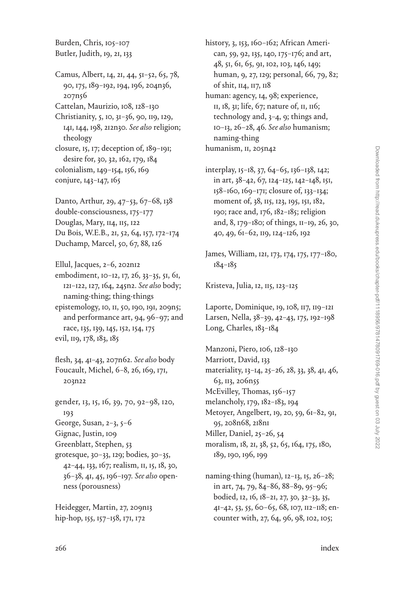Burden, Chris, [105](#page--1-0)–[107](#page--1-0) Butler, Judith, [19,](#page--1-0) [21](#page--1-0), [133](#page--1-0)

Camus, Albert, [14](#page--1-0), [21,](#page--1-0) [44,](#page--1-0) [51–52](#page--1-0), [65,](#page--1-0) [78,](#page--1-0) [90](#page--1-0), [175](#page--1-0), [189–192](#page--1-0), [194,](#page--1-0) [196](#page--1-0), [204n36](#page--1-0), [207n56](#page--1-0) Cattelan, Maurizio, [108](#page--1-0), [128–130](#page--1-0)

Christianity, [5,](#page--1-0) [10, 31–36](#page--1-0), [90](#page--1-0), [119](#page--1-0), [129](#page--1-0), [141](#page--1-0), [144](#page--1-0), [198](#page--1-0), [212n30](#page--1-0). *See also* religion; theology

closure, [15](#page--1-0), [17](#page--1-0); deception of, [189](#page--1-0)–[191](#page--1-0); desire for, [30](#page--1-0), [32](#page--1-0), [162](#page--1-0), [179, 184](#page--1-0) colonialism, [149–154,](#page--1-0) [156](#page--1-0), [169](#page--1-0) conjure, 143-147, [165](#page--1-0)

Danto, Arthur, [29, 47–53,](#page--1-0) [67–68,](#page--1-0) [138](#page--1-0) double-consciousness, [175](#page--1-0)–[177](#page--1-0) Douglas, Mary, [114,](#page--1-0) [115, 122](#page--1-0) Du Bois, W.E.B., [21](#page--1-0), [52,](#page--1-0) [64,](#page--1-0) [157](#page--1-0), [172–174](#page--1-0) Duchamp, Marcel, [50,](#page--1-0) [67, 88](#page--1-0), [126](#page--1-0)

Ellul, Jacques, [2–6,](#page--1-0) [202n12](#page--1-0) embodiment, [10](#page--1-0)–[12](#page--1-0), [17,](#page--1-0) [26, 33–35,](#page--1-0) [51,](#page--1-0) [61](#page--1-0), [121–122](#page--1-0), [127](#page--1-0), [164, 245n2.](#page--1-0) *See also* body; naming-thing; thing-things epistemology, [10](#page--1-0), [11](#page--1-0), [50](#page--1-0), [190](#page--1-0), [191, 209n5;](#page--1-0) and performance art, [94](#page--1-0), [96–97;](#page--1-0) and race, [135, 139](#page--1-0), [145, 152,](#page--1-0) [154](#page--1-0), [175](#page--1-0) evil, [119](#page--1-0), [178](#page--1-0), [183](#page--1-0), [185](#page--1-0)

flesh, [34,](#page--1-0) [41–43,](#page--1-0) [207n62.](#page--1-0) *See also* body Foucault, Michel, [6](#page--1-0)–[8,](#page--1-0) [26, 169,](#page--1-0) [171](#page--1-0), [203n22](#page--1-0)

gender, [13, 15,](#page--1-0) [16](#page--1-0), [39](#page--1-0), [70, 92–98,](#page--1-0) [120,](#page--1-0) [193](#page--1-0) George, Susan, [2–3,](#page--1-0) [5](#page--1-0)–[6](#page--1-0) Gignac, Justin, [109](#page--1-0) Greenblatt, Stephen, [53](#page--1-0) grotesque, [30](#page--1-0)–[33](#page--1-0), [129](#page--1-0); bodies, [30](#page--1-0)–[35](#page--1-0), [42–44](#page--1-0), [133](#page--1-0), [167;](#page--1-0) realism, [11](#page--1-0), [15](#page--1-0), [18,](#page--1-0) [30,](#page--1-0) [36–38,](#page--1-0) [41,](#page--1-0) [45,](#page--1-0) [196–197.](#page--1-0) *See also* openness (porousness)

Heidegger, Martin, [27](#page--1-0), [209n13](#page--1-0) hip-hop, [155](#page--1-0), [157–158,](#page--1-0) [171](#page--1-0), [172](#page--1-0)

history, [3,](#page--1-0) [153, 160](#page--1-0)–[162;](#page--1-0) African American, [59](#page--1-0), [92,](#page--1-0) [135](#page--1-0), [140,](#page--1-0) [175–176;](#page--1-0) and art, [48,](#page--1-0) [51, 61](#page--1-0), [65](#page--1-0), [91,](#page--1-0) [102,](#page--1-0) [103,](#page--1-0) [146](#page--1-0), [149;](#page--1-0) human, [9,](#page--1-0) [27](#page--1-0), [129](#page--1-0); personal, [66,](#page--1-0) [79,](#page--1-0) [82;](#page--1-0) of shit, [114,](#page--1-0) [117](#page--1-0), [118](#page--1-0)

human: agency, [14](#page--1-0), [98](#page--1-0); experience, [11,](#page--1-0) [18](#page--1-0), [31](#page--1-0); life, [67](#page--1-0); nature of, [11](#page--1-0), [116;](#page--1-0) technology and, [3–4, 9;](#page--1-0) things and, [10–13](#page--1-0), [26–28](#page--1-0), [46.](#page--1-0) *See also* humanism; naming-thing humanism, [11, 205n42](#page--1-0)

interplay, [15–18, 37, 64–65](#page--1-0), [136](#page--1-0)–[138](#page--1-0), [142](#page--1-0); in art, [38–42, 67](#page--1-0), [124–125](#page--1-0), [142–148](#page--1-0), [151,](#page--1-0) [158](#page--1-0)–[160,](#page--1-0) [169–171](#page--1-0); closure of, [133](#page--1-0)–[134](#page--1-0); moment of, [38](#page--1-0), [115,](#page--1-0) [123,](#page--1-0) [195](#page--1-0), [151,](#page--1-0) [182](#page--1-0), [190](#page--1-0); race and, [176](#page--1-0), [182–185](#page--1-0); religion and, [8](#page--1-0), [179–180;](#page--1-0) of things, [11](#page--1-0)–[19,](#page--1-0) [26](#page--1-0), [30](#page--1-0), [40,](#page--1-0) [49,](#page--1-0) [61–62,](#page--1-0) [119,](#page--1-0) [124](#page--1-0)–[126,](#page--1-0) [192](#page--1-0)

James, William, [121](#page--1-0), [173,](#page--1-0) [174](#page--1-0), [175,](#page--1-0) [177–180](#page--1-0), [184](#page--1-0)–[185](#page--1-0)

Kristeva, Julia, [12, 115](#page--1-0), [123](#page--1-0)–[125](#page--1-0)

Laporte, Dominique, [19,](#page--1-0) [108](#page--1-0), [117,](#page--1-0) [119–121](#page--1-0) Larsen, Nella, [38–39](#page--1-0), [42–43](#page--1-0), [175](#page--1-0), [192](#page--1-0)–[198](#page--1-0) Long, Charles, [183–184](#page--1-0)

Manzoni, Piero, [106](#page--1-0), [128–130](#page--1-0) Marriott, David, [133](#page--1-0) materiality, [13](#page--1-0)–[14,](#page--1-0) [25–26,](#page--1-0) [28](#page--1-0), [33](#page--1-0), [38,](#page--1-0) [41,](#page--1-0) [46,](#page--1-0) [63,](#page--1-0) [113](#page--1-0), [206n55](#page--1-0) McEvilley, Thomas, [156](#page--1-0)–[157](#page--1-0) melancholy, [179](#page--1-0), [182–183](#page--1-0), [194](#page--1-0) Metoyer, Angelbert, [19](#page--1-0), [20](#page--1-0), [59](#page--1-0), [61](#page--1-0)–[82,](#page--1-0) [91,](#page--1-0) [95](#page--1-0), [208n68,](#page--1-0) [218n1](#page--1-0) Miller, Daniel, [25](#page--1-0)–[26](#page--1-0), [54](#page--1-0) moralism, [18,](#page--1-0) [21](#page--1-0), [38,](#page--1-0) [52](#page--1-0), [65](#page--1-0), [164,](#page--1-0) [175,](#page--1-0) [180](#page--1-0),

[189,](#page--1-0) [190,](#page--1-0) [196](#page--1-0), [199](#page--1-0)

naming-thing (human), [12](#page--1-0)–[13](#page--1-0), [15](#page--1-0), [26–28](#page--1-0); in art, [74](#page--1-0), [79](#page--1-0), [84–86,](#page--1-0) [88](#page--1-0)–[89](#page--1-0), [95](#page--1-0)–[96;](#page--1-0) bodied, [12](#page--1-0), [16,](#page--1-0) [18](#page--1-0)–[21](#page--1-0), [27,](#page--1-0) [30,](#page--1-0) [32–33, 35,](#page--1-0) [41–42,](#page--1-0) [53](#page--1-0), [55](#page--1-0), [60–65](#page--1-0), [68](#page--1-0), [107](#page--1-0), [112–118;](#page--1-0) encounter with, [27,](#page--1-0) [64,](#page--1-0) [96,](#page--1-0) [98](#page--1-0), [102,](#page--1-0) [105;](#page--1-0)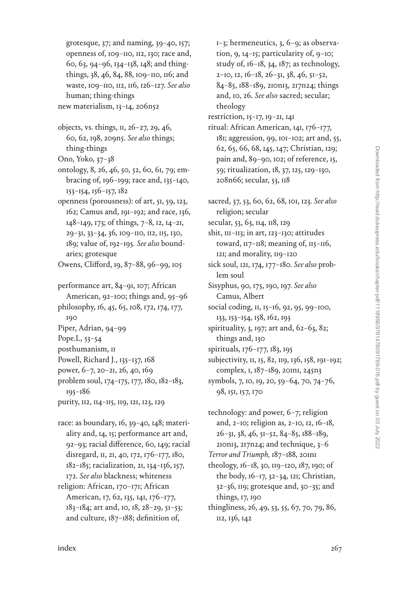grotesque, [37](#page--1-0); and naming, [39–40](#page--1-0), [157;](#page--1-0) openness of, [109–110,](#page--1-0) [112, 130;](#page--1-0) race and, [60](#page--1-0), [63](#page--1-0), [94](#page--1-0)–[96](#page--1-0), [134](#page--1-0)–[138,](#page--1-0) [148;](#page--1-0) and thingthings, [38,](#page--1-0) [46,](#page--1-0) [84](#page--1-0), [88,](#page--1-0) [109–110, 116;](#page--1-0) and waste, [109–110](#page--1-0), [112](#page--1-0), [116,](#page--1-0) [126–127](#page--1-0). *See also* human; thing-things new materialism, [13](#page--1-0)–[14,](#page--1-0) [206n52](#page--1-0)

- objects, vs. things, [11](#page--1-0), [26–27](#page--1-0), [29,](#page--1-0) [46,](#page--1-0) [60](#page--1-0), [62, 198](#page--1-0), [209n5.](#page--1-0) *See also* things; thing-things
- Ono, Yoko, [37–38](#page--1-0)
- ontology, [8](#page--1-0), [26,](#page--1-0) [46,](#page--1-0) [50,](#page--1-0) [52](#page--1-0), [60,](#page--1-0) [61,](#page--1-0) [79;](#page--1-0) embracing of, [196–199;](#page--1-0) race and, [135](#page--1-0)–[140](#page--1-0), [153](#page--1-0)–[154,](#page--1-0) [156–157](#page--1-0), [182](#page--1-0)
- openness (porousness): of art, [51](#page--1-0), [59](#page--1-0), [123](#page--1-0), [162;](#page--1-0) Camus and, [191](#page--1-0)–[192;](#page--1-0) and race, [136](#page--1-0), [148–149, 173](#page--1-0); of things, [7](#page--1-0)–[8,](#page--1-0) [12](#page--1-0), [14–21,](#page--1-0) [29](#page--1-0)–[31,](#page--1-0) [33–34,](#page--1-0) [36,](#page--1-0) [109–110, 112, 115](#page--1-0), [130](#page--1-0), [189](#page--1-0); value of, [192–195.](#page--1-0) *See also* boundaries; grotesque

Owens, Clifford, [19](#page--1-0), [87–88, 96](#page--1-0)–[99](#page--1-0), [105](#page--1-0)

- performance art, [84](#page--1-0)–[91, 107;](#page--1-0) African American, [92–100](#page--1-0); things and, [95](#page--1-0)–[96](#page--1-0) philosophy, [16, 45, 65, 108](#page--1-0), [172](#page--1-0), [174](#page--1-0), [177,](#page--1-0)
- [190](#page--1-0)
- Piper, Adrian, [94–99](#page--1-0)
- Pope.L, [53](#page--1-0)–[54](#page--1-0)
- posthumanism, [11](#page--1-0)
- Powell, Richard J., [135](#page--1-0)–[137, 168](#page--1-0)
- power, [6](#page--1-0)–[7](#page--1-0), [20](#page--1-0)–[21](#page--1-0), [26](#page--1-0), [40,](#page--1-0) [169](#page--1-0)
- problem soul, [174](#page--1-0)–[175,](#page--1-0) [177](#page--1-0), [180,](#page--1-0) [182](#page--1-0)–[183,](#page--1-0) [195](#page--1-0)–[186](#page--1-0)
- purity, [112,](#page--1-0) [114](#page--1-0)–[115,](#page--1-0) [119](#page--1-0), [121](#page--1-0), [123](#page--1-0), [129](#page--1-0)
- race: as boundary, [16, 39–40](#page--1-0), [148](#page--1-0); materiality and, [14](#page--1-0), [15](#page--1-0); performance art and, [92](#page--1-0)–[93;](#page--1-0) racial difference, [60](#page--1-0), [149;](#page--1-0) racial disregard, [11](#page--1-0), [21,](#page--1-0) [40,](#page--1-0) [172,](#page--1-0) [176](#page--1-0)–[177, 180](#page--1-0), [182](#page--1-0)–[185;](#page--1-0) racialization, [21,](#page--1-0) [134](#page--1-0)–[136, 157,](#page--1-0) [172.](#page--1-0) *See also* blackness; whiteness religion: African, [170–171](#page--1-0); African American, [17](#page--1-0), [62, 135](#page--1-0), [141](#page--1-0), [176](#page--1-0)–[177](#page--1-0), [183](#page--1-0)–[184;](#page--1-0) art and, [10](#page--1-0), [18](#page--1-0), [28](#page--1-0)–[29](#page--1-0), [51](#page--1-0)–[53;](#page--1-0) and culture, [187–188](#page--1-0); definition of,

[1](#page--1-0)–[3;](#page--1-0) hermeneutics, [3](#page--1-0), [6](#page--1-0)–[9](#page--1-0); as observation, [9](#page--1-0), [14](#page--1-0)–[15;](#page--1-0) particularity of, [9–10;](#page--1-0) study of, [16](#page--1-0)–[18](#page--1-0), [34](#page--1-0), [187](#page--1-0); as technology, [2](#page--1-0)–[10](#page--1-0), [12,](#page--1-0) [16](#page--1-0)–[18](#page--1-0), [26](#page--1-0)–[31](#page--1-0), [38](#page--1-0), [46](#page--1-0), [51](#page--1-0)–[52](#page--1-0), [84–85,](#page--1-0) [188–189,](#page--1-0) [210n13](#page--1-0), [217n24;](#page--1-0) things and, [10,](#page--1-0) [26](#page--1-0). *See also* sacred; secular; theology

restriction, [15](#page--1-0)–[17,](#page--1-0) [19–21,](#page--1-0) [141](#page--1-0)

- ritual: African American, [141](#page--1-0), [176–177,](#page--1-0) [181;](#page--1-0) aggression, [99](#page--1-0), [101](#page--1-0)–[102;](#page--1-0) art and, [55](#page--1-0), [62, 65](#page--1-0), [66](#page--1-0), [68](#page--1-0), [145,](#page--1-0) [147;](#page--1-0) Christian, [129;](#page--1-0) pain and, [89–90](#page--1-0), [102;](#page--1-0) of reference, [15,](#page--1-0) [59](#page--1-0); ritualization, [18,](#page--1-0) [37,](#page--1-0) [125](#page--1-0), [129–130](#page--1-0), [208n66](#page--1-0); secular, [53](#page--1-0), [118](#page--1-0)
- sacred, [37](#page--1-0), [53](#page--1-0), [60](#page--1-0), [62](#page--1-0), [68,](#page--1-0) [101,](#page--1-0) [123.](#page--1-0) *See also* religion; secular secular, [53](#page--1-0), [63](#page--1-0), [114,](#page--1-0) [118, 129](#page--1-0) shit, [111–113](#page--1-0); in art, [123–130;](#page--1-0) attitudes toward, [117–118;](#page--1-0) meaning of, [115](#page--1-0)–[116](#page--1-0), [121](#page--1-0); and morality, [119–120](#page--1-0) sick soul, [121](#page--1-0), [174, 177](#page--1-0)–[180.](#page--1-0) *See also* problem soul Sisyphus, [90](#page--1-0), [175](#page--1-0), [190](#page--1-0), [197.](#page--1-0) *See also* Camus, Albert social coding, [11](#page--1-0), [15–16](#page--1-0), [92, 95, 99](#page--1-0)–[100,](#page--1-0)
- [133,](#page--1-0) [153–154,](#page--1-0) [158,](#page--1-0) [162,](#page--1-0) [193](#page--1-0) spirituality, [3, 197](#page--1-0); art and, [62](#page--1-0)–[63](#page--1-0), [82](#page--1-0); things and, [130](#page--1-0)
- spirituals, [176–177,](#page--1-0) [183, 195](#page--1-0)
- subjectivity, [11,](#page--1-0) [15,](#page--1-0) [82,](#page--1-0) [119](#page--1-0), [136,](#page--1-0) [158,](#page--1-0) [191–192;](#page--1-0) complex, [1](#page--1-0), [187](#page--1-0)–[189](#page--1-0), [201n1,](#page--1-0) [245n3](#page--1-0)
- symbols, [7](#page--1-0), [10](#page--1-0), [19,](#page--1-0) [20](#page--1-0), [59](#page--1-0)–[64,](#page--1-0) [70,](#page--1-0) [74–76](#page--1-0), [98](#page--1-0), [151,](#page--1-0) [157](#page--1-0), [170](#page--1-0)
- technology: and power, [6–7](#page--1-0); religion and, [2–10;](#page--1-0) religion as, [2–10,](#page--1-0) [12](#page--1-0), [16–18](#page--1-0), [26–31](#page--1-0), [38,](#page--1-0) [46,](#page--1-0) [51–52](#page--1-0), [84–85,](#page--1-0) [188](#page--1-0)–[189](#page--1-0), [210n13](#page--1-0), [217n24](#page--1-0); and technique, [3](#page--1-0)–[6](#page--1-0)
- *Terror and Triumph,* [187–188,](#page--1-0) [201n1](#page--1-0) theology, [16–18](#page--1-0), [30,](#page--1-0) [119](#page--1-0)–[120,](#page--1-0) [187](#page--1-0), [190](#page--1-0); of the body, [16–17](#page--1-0), [32](#page--1-0)–[34,](#page--1-0) [121;](#page--1-0) Christian, [32–36,](#page--1-0) [119;](#page--1-0) grotesque and, [30](#page--1-0)–[35](#page--1-0); and things, [17](#page--1-0), [190](#page--1-0)
- thingliness, [26, 49, 53,](#page--1-0) [55,](#page--1-0) [67,](#page--1-0) [70,](#page--1-0) [79,](#page--1-0) [86](#page--1-0), [112](#page--1-0), [136,](#page--1-0) [142](#page--1-0)